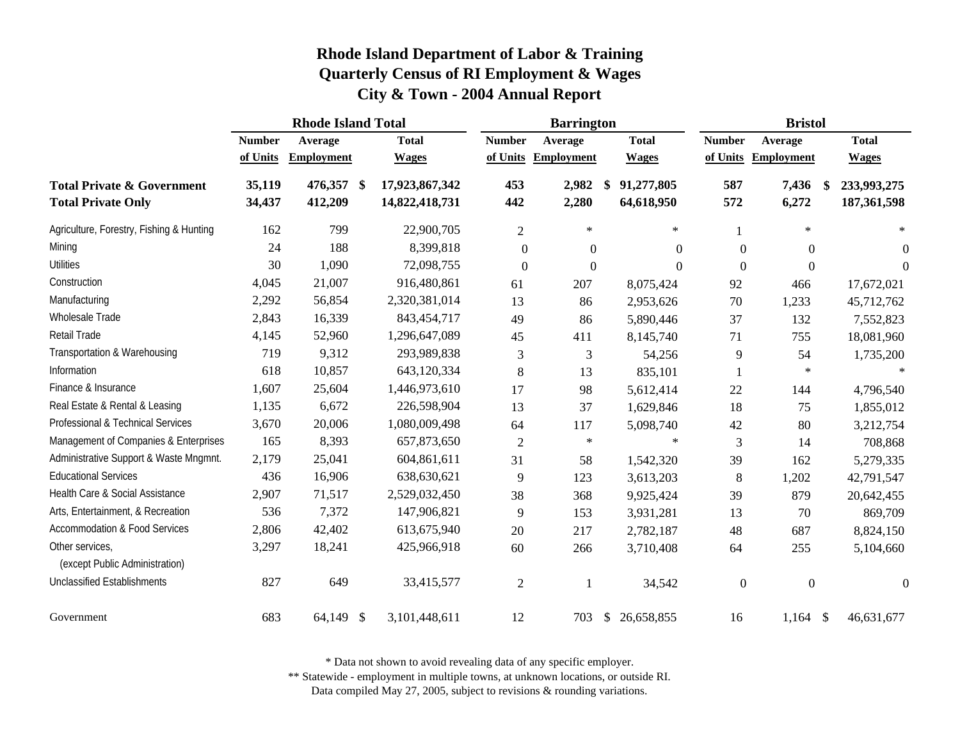|                                                                    | <b>Rhode Island Total</b> |                    |                   |                                  |                  | <b>Barrington</b> |               |                          |                  | <b>Bristol</b>    |                                    |
|--------------------------------------------------------------------|---------------------------|--------------------|-------------------|----------------------------------|------------------|-------------------|---------------|--------------------------|------------------|-------------------|------------------------------------|
|                                                                    | <b>Number</b>             | Average            |                   | <b>Total</b>                     | <b>Number</b>    | Average           |               | <b>Total</b>             | <b>Number</b>    | Average           | <b>Total</b>                       |
|                                                                    | of Units                  | <b>Employment</b>  |                   | <b>Wages</b>                     | of Units         | <b>Employment</b> |               | <b>Wages</b>             | of Units         | <b>Employment</b> | <b>Wages</b>                       |
| <b>Total Private &amp; Government</b><br><b>Total Private Only</b> | 35,119<br>34,437          | 476,357<br>412,209 | $\boldsymbol{\$}$ | 17,923,867,342<br>14,822,418,731 | 453<br>442       | 2,982<br>2,280    | \$            | 91,277,805<br>64,618,950 | 587<br>572       | 7,436<br>6,272    | 233,993,275<br>\$<br>187, 361, 598 |
| Agriculture, Forestry, Fishing & Hunting                           | 162                       | 799                |                   | 22,900,705                       | $\overline{2}$   | $\ast$            |               | $\star$                  |                  | $\ast$            | $\ast$                             |
| Mining                                                             | 24                        | 188                |                   | 8,399,818                        | $\boldsymbol{0}$ | $\boldsymbol{0}$  |               | $\theta$                 | $\boldsymbol{0}$ | $\overline{0}$    | $\boldsymbol{0}$                   |
| <b>Utilities</b>                                                   | 30                        | 1,090              |                   | 72,098,755                       | $\mathbf{0}$     | $\Omega$          |               | $\theta$                 | $\boldsymbol{0}$ | $\Omega$          | $\Omega$                           |
| Construction                                                       | 4,045                     | 21,007             |                   | 916,480,861                      | 61               | 207               |               | 8,075,424                | 92               | 466               | 17,672,021                         |
| Manufacturing                                                      | 2,292                     | 56,854             |                   | 2,320,381,014                    | 13               | 86                |               | 2,953,626                | 70               | 1,233             | 45,712,762                         |
| Wholesale Trade                                                    | 2,843                     | 16,339             |                   | 843,454,717                      | 49               | 86                |               | 5,890,446                | 37               | 132               | 7,552,823                          |
| <b>Retail Trade</b>                                                | 4,145                     | 52,960             |                   | 1,296,647,089                    | 45               | 411               |               | 8,145,740                | 71               | 755               | 18,081,960                         |
| Transportation & Warehousing                                       | 719                       | 9,312              |                   | 293,989,838                      | 3                | 3                 |               | 54,256                   | 9                | 54                | 1,735,200                          |
| Information                                                        | 618                       | 10,857             |                   | 643,120,334                      | 8                | 13                |               | 835,101                  |                  | $\ast$            |                                    |
| Finance & Insurance                                                | 1,607                     | 25,604             |                   | 1,446,973,610                    | 17               | 98                |               | 5,612,414                | 22               | 144               | 4,796,540                          |
| Real Estate & Rental & Leasing                                     | 1,135                     | 6,672              |                   | 226,598,904                      | 13               | 37                |               | 1,629,846                | 18               | 75                | 1,855,012                          |
| Professional & Technical Services                                  | 3,670                     | 20,006             |                   | 1,080,009,498                    | 64               | 117               |               | 5,098,740                | 42               | 80                | 3,212,754                          |
| Management of Companies & Enterprises                              | 165                       | 8,393              |                   | 657,873,650                      | $\mathbf{2}$     | $\ast$            |               | $\ast$                   | 3                | 14                | 708,868                            |
| Administrative Support & Waste Mngmnt.                             | 2,179                     | 25,041             |                   | 604,861,611                      | 31               | 58                |               | 1,542,320                | 39               | 162               | 5,279,335                          |
| <b>Educational Services</b>                                        | 436                       | 16,906             |                   | 638,630,621                      | 9                | 123               |               | 3,613,203                | 8                | 1,202             | 42,791,547                         |
| Health Care & Social Assistance                                    | 2,907                     | 71,517             |                   | 2,529,032,450                    | 38               | 368               |               | 9,925,424                | 39               | 879               | 20,642,455                         |
| Arts, Entertainment, & Recreation                                  | 536                       | 7,372              |                   | 147,906,821                      | 9                | 153               |               | 3,931,281                | 13               | 70                | 869,709                            |
| <b>Accommodation &amp; Food Services</b>                           | 2,806                     | 42,402             |                   | 613,675,940                      | 20               | 217               |               | 2,782,187                | 48               | 687               | 8,824,150                          |
| Other services,<br>(except Public Administration)                  | 3,297                     | 18,241             |                   | 425,966,918                      | 60               | 266               |               | 3,710,408                | 64               | 255               | 5,104,660                          |
| <b>Unclassified Establishments</b>                                 | 827                       | 649                |                   | 33,415,577                       | $\overline{2}$   |                   |               | 34,542                   | $\boldsymbol{0}$ | $\mathbf{0}$      | $\mathbf{0}$                       |
| Government                                                         | 683                       | 64,149 \$          |                   | 3,101,448,611                    | 12               | 703               | $\mathcal{S}$ | 26,658,855               | 16               | $1,164$ \$        | 46,631,677                         |

\* Data not shown to avoid revealing data of any specific employer.

\*\* Statewide - employment in multiple towns, at unknown locations, or outside RI.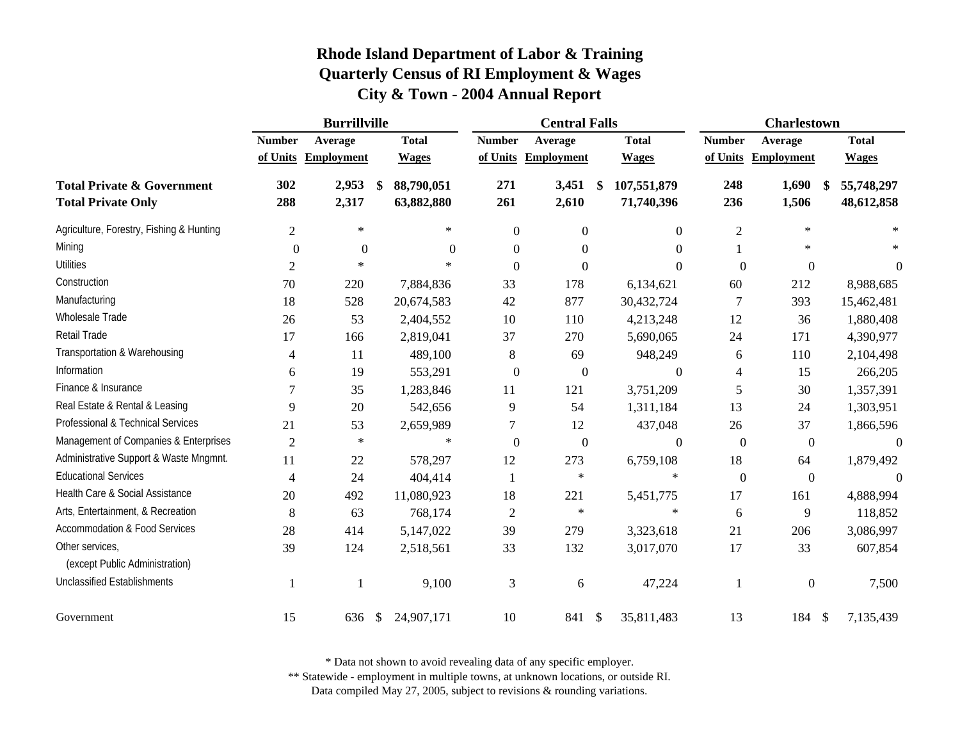|                                                                    | <b>Burrillville</b> |                   |      |                          |                  | <b>Central Falls</b> |                                 |                  | <b>Charlestown</b> |                          |
|--------------------------------------------------------------------|---------------------|-------------------|------|--------------------------|------------------|----------------------|---------------------------------|------------------|--------------------|--------------------------|
|                                                                    | <b>Number</b>       | Average           |      | <b>Total</b>             | <b>Number</b>    | Average              | <b>Total</b>                    | <b>Number</b>    | Average            | <b>Total</b>             |
|                                                                    | of Units            | <b>Employment</b> |      | <b>Wages</b>             | of Units         | <b>Employment</b>    | <b>Wages</b>                    | of Units         | <b>Employment</b>  | <b>Wages</b>             |
| <b>Total Private &amp; Government</b><br><b>Total Private Only</b> | 302<br>288          | 2,953<br>2,317    | - \$ | 88,790,051<br>63,882,880 | 271<br>261       | 3,451<br>2,610       | \$<br>107,551,879<br>71,740,396 | 248<br>236       | 1,690<br>1,506     | 55,748,297<br>48,612,858 |
| Agriculture, Forestry, Fishing & Hunting                           | $\overline{2}$      | $\ast$            |      | $\ast$                   | $\boldsymbol{0}$ | $\boldsymbol{0}$     | $\overline{0}$                  | $\mathbf{2}$     | $\ast$             |                          |
| Mining                                                             | $\Omega$            | $\overline{0}$    |      | $\Omega$                 | $\boldsymbol{0}$ | $\boldsymbol{0}$     | $\Omega$                        |                  | $\ast$             |                          |
| <b>Utilities</b>                                                   | $\mathbf{2}$        | $\star$           |      | $\ast$                   | $\overline{0}$   | $\theta$             | $\Omega$                        | $\mathbf{0}$     | $\overline{0}$     | $\theta$                 |
| Construction                                                       | 70                  | 220               |      | 7,884,836                | 33               | 178                  | 6,134,621                       | 60               | 212                | 8,988,685                |
| Manufacturing                                                      | 18                  | 528               |      | 20,674,583               | 42               | 877                  | 30,432,724                      | 7                | 393                | 15,462,481               |
| Wholesale Trade                                                    | 26                  | 53                |      | 2,404,552                | $10\,$           | 110                  | 4,213,248                       | 12               | 36                 | 1,880,408                |
| Retail Trade                                                       | 17                  | 166               |      | 2,819,041                | 37               | 270                  | 5,690,065                       | 24               | 171                | 4,390,977                |
| Transportation & Warehousing                                       | 4                   | 11                |      | 489,100                  | $8\,$            | 69                   | 948,249                         | 6                | 110                | 2,104,498                |
| Information                                                        | 6                   | 19                |      | 553,291                  | $\boldsymbol{0}$ | $\boldsymbol{0}$     | $\Omega$                        | $\overline{4}$   | 15                 | 266,205                  |
| Finance & Insurance                                                |                     | 35                |      | 1,283,846                | 11               | 121                  | 3,751,209                       | 5                | 30                 | 1,357,391                |
| Real Estate & Rental & Leasing                                     | 9                   | 20                |      | 542,656                  | 9                | 54                   | 1,311,184                       | 13               | 24                 | 1,303,951                |
| Professional & Technical Services                                  | 21                  | 53                |      | 2,659,989                | 7                | 12                   | 437,048                         | 26               | 37                 | 1,866,596                |
| Management of Companies & Enterprises                              | $\mathfrak{2}$      | $\ast$            |      | $\ast$                   | $\boldsymbol{0}$ | $\boldsymbol{0}$     | $\mathbf{0}$                    | $\boldsymbol{0}$ | $\boldsymbol{0}$   | $\boldsymbol{0}$         |
| Administrative Support & Waste Mngmnt.                             | 11                  | 22                |      | 578,297                  | 12               | 273                  | 6,759,108                       | 18               | 64                 | 1,879,492                |
| <b>Educational Services</b>                                        | 4                   | 24                |      | 404,414                  | 1                | $\ast$               | $\ast$                          | $\boldsymbol{0}$ | $\boldsymbol{0}$   | $\Omega$                 |
| Health Care & Social Assistance                                    | 20                  | 492               |      | 11,080,923               | 18               | 221                  | 5,451,775                       | 17               | 161                | 4,888,994                |
| Arts, Entertainment, & Recreation                                  | 8                   | 63                |      | 768,174                  | $\boldsymbol{2}$ | $\ast$               | $\ast$                          | 6                | 9                  | 118,852                  |
| <b>Accommodation &amp; Food Services</b>                           | 28                  | 414               |      | 5,147,022                | 39               | 279                  | 3,323,618                       | 21               | 206                | 3,086,997                |
| Other services,<br>(except Public Administration)                  | 39                  | 124               |      | 2,518,561                | 33               | 132                  | 3,017,070                       | 17               | 33                 | 607,854                  |
| <b>Unclassified Establishments</b>                                 |                     |                   |      | 9,100                    | 3                | 6                    | 47,224                          | $\mathbf{1}$     | $\boldsymbol{0}$   | 7,500                    |
| Government                                                         | 15                  | 636               | \$   | 24,907,171               | 10               | 841 \$               | 35,811,483                      | 13               | 184 \$             | 7,135,439                |

\* Data not shown to avoid revealing data of any specific employer.

\*\* Statewide - employment in multiple towns, at unknown locations, or outside RI.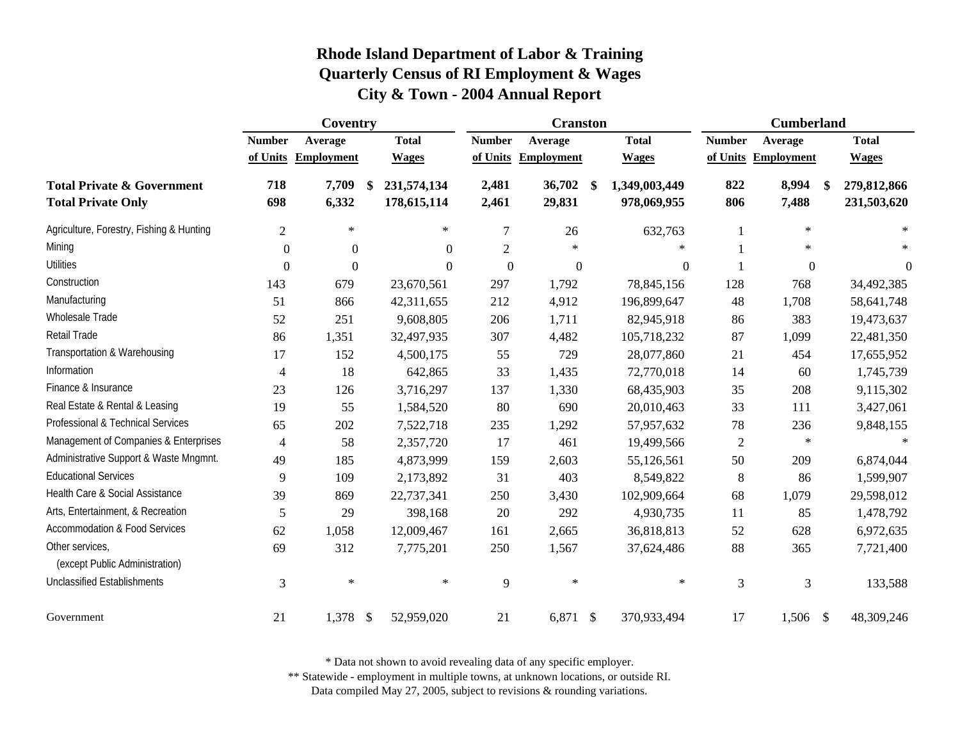|                                                                    | Coventry       |                   |    |                            |                | <b>Cranston</b>   |                                    |                | <b>Cumberland</b>   |                            |
|--------------------------------------------------------------------|----------------|-------------------|----|----------------------------|----------------|-------------------|------------------------------------|----------------|---------------------|----------------------------|
|                                                                    | <b>Number</b>  | Average           |    | <b>Total</b>               | <b>Number</b>  | Average           | <b>Total</b>                       | <b>Number</b>  | Average             | <b>Total</b>               |
|                                                                    | of Units       | <b>Employment</b> |    | <b>Wages</b>               | of Units       | <b>Employment</b> | <b>Wages</b>                       |                | of Units Employment | <b>Wages</b>               |
| <b>Total Private &amp; Government</b><br><b>Total Private Only</b> | 718<br>698     | 7,709<br>6,332    | \$ | 231,574,134<br>178,615,114 | 2,481<br>2,461 | 36,702<br>29,831  | \$<br>1,349,003,449<br>978,069,955 | 822<br>806     | 8,994<br>7,488      | 279,812,866<br>231,503,620 |
| Agriculture, Forestry, Fishing & Hunting                           | $\overline{2}$ | $\ast$            |    | $\ast$                     | $\overline{7}$ | 26                | 632,763                            |                | $\ast$              | $\ast$                     |
| Mining                                                             | $\overline{0}$ | $\mathbf{0}$      |    | $\Omega$                   | $\overline{2}$ | $\ast$            | $\ast$                             |                | $\ast$              | $\ast$                     |
| <b>Utilities</b>                                                   | $\Omega$       | $\mathbf{0}$      |    | $\Omega$                   | $\overline{0}$ | $\mathbf{0}$      | $\boldsymbol{0}$                   |                | $\mathbf{0}$        | $\theta$                   |
| Construction                                                       | 143            | 679               |    | 23,670,561                 | 297            | 1,792             | 78,845,156                         | 128            | 768                 | 34,492,385                 |
| Manufacturing                                                      | 51             | 866               |    | 42,311,655                 | 212            | 4,912             | 196,899,647                        | 48             | 1,708               | 58,641,748                 |
| Wholesale Trade                                                    | 52             | 251               |    | 9,608,805                  | 206            | 1,711             | 82,945,918                         | 86             | 383                 | 19,473,637                 |
| <b>Retail Trade</b>                                                | 86             | 1,351             |    | 32,497,935                 | 307            | 4,482             | 105,718,232                        | 87             | 1,099               | 22,481,350                 |
| Transportation & Warehousing                                       | 17             | 152               |    | 4,500,175                  | 55             | 729               | 28,077,860                         | 21             | 454                 | 17,655,952                 |
| Information                                                        | $\overline{4}$ | 18                |    | 642,865                    | 33             | 1,435             | 72,770,018                         | 14             | 60                  | 1,745,739                  |
| Finance & Insurance                                                | 23             | 126               |    | 3,716,297                  | 137            | 1,330             | 68,435,903                         | 35             | 208                 | 9,115,302                  |
| Real Estate & Rental & Leasing                                     | 19             | 55                |    | 1,584,520                  | 80             | 690               | 20,010,463                         | 33             | 111                 | 3,427,061                  |
| Professional & Technical Services                                  | 65             | 202               |    | 7,522,718                  | 235            | 1,292             | 57,957,632                         | 78             | 236                 | 9,848,155                  |
| Management of Companies & Enterprises                              | 4              | 58                |    | 2,357,720                  | 17             | 461               | 19,499,566                         | $\overline{2}$ | $\ast$              | $\ast$                     |
| Administrative Support & Waste Mngmnt.                             | 49             | 185               |    | 4,873,999                  | 159            | 2,603             | 55,126,561                         | 50             | 209                 | 6,874,044                  |
| <b>Educational Services</b>                                        | 9              | 109               |    | 2,173,892                  | 31             | 403               | 8,549,822                          | 8              | 86                  | 1,599,907                  |
| Health Care & Social Assistance                                    | 39             | 869               |    | 22,737,341                 | 250            | 3,430             | 102,909,664                        | 68             | 1,079               | 29,598,012                 |
| Arts, Entertainment, & Recreation                                  | 5              | 29                |    | 398,168                    | 20             | 292               | 4,930,735                          | 11             | 85                  | 1,478,792                  |
| Accommodation & Food Services                                      | 62             | 1,058             |    | 12,009,467                 | 161            | 2,665             | 36,818,813                         | 52             | 628                 | 6,972,635                  |
| Other services,<br>(except Public Administration)                  | 69             | 312               |    | 7,775,201                  | 250            | 1,567             | 37,624,486                         | 88             | 365                 | 7,721,400                  |
| <b>Unclassified Establishments</b>                                 | 3              | $\ast$            |    | $\ast$                     | 9              | $\ast$            | $\ast$                             | 3              | 3                   | 133,588                    |
| Government                                                         | 21             | 1,378 \$          |    | 52,959,020                 | 21             | $6,871$ \$        | 370,933,494                        | 17             | $1,506$ \$          | 48,309,246                 |

\* Data not shown to avoid revealing data of any specific employer.

\*\* Statewide - employment in multiple towns, at unknown locations, or outside RI.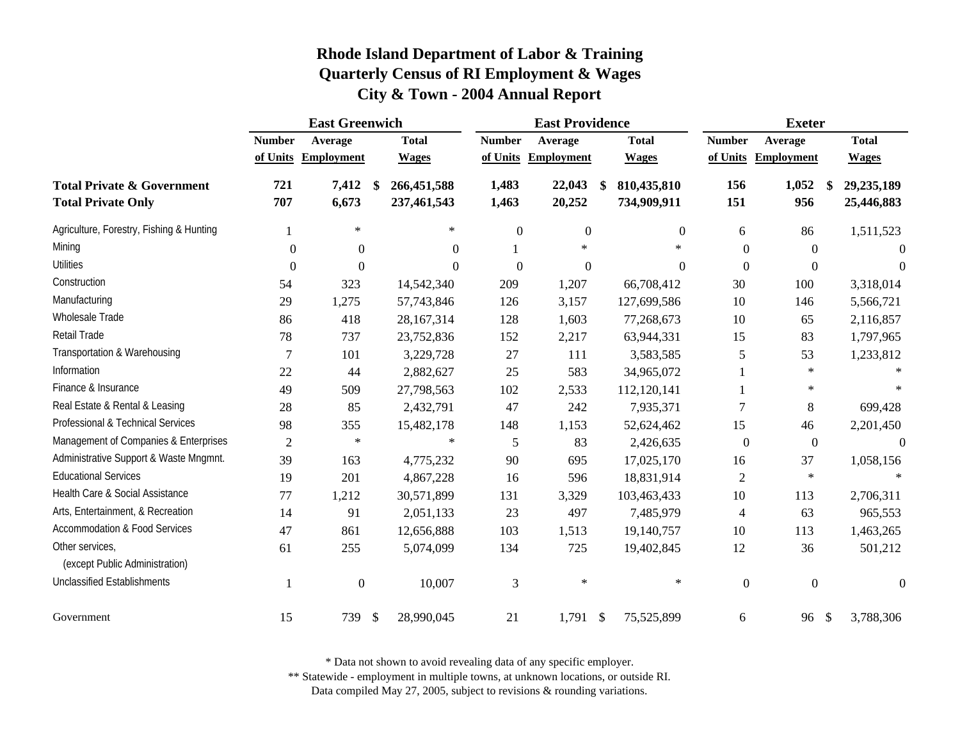|                                                                    | <b>East Greenwich</b> |                   |                                  |                | <b>East Providence</b> |                                  |                  | <b>Exeter</b>      |                          |
|--------------------------------------------------------------------|-----------------------|-------------------|----------------------------------|----------------|------------------------|----------------------------------|------------------|--------------------|--------------------------|
|                                                                    | <b>Number</b>         | Average           | <b>Total</b>                     | <b>Number</b>  | Average                | <b>Total</b>                     | <b>Number</b>    | Average            | <b>Total</b>             |
|                                                                    | of Units              | <b>Employment</b> | <b>Wages</b>                     | of Units       | <b>Employment</b>      | <b>Wages</b>                     | of Units         | <b>Employment</b>  | <b>Wages</b>             |
| <b>Total Private &amp; Government</b><br><b>Total Private Only</b> | 721<br>707            | 7,412<br>6,673    | 266,451,588<br>\$<br>237,461,543 | 1,483<br>1,463 | 22,043<br>20,252       | 810,435,810<br>\$<br>734,909,911 | 156<br>151       | 1,052<br>\$<br>956 | 29,235,189<br>25,446,883 |
| Agriculture, Forestry, Fishing & Hunting                           |                       | $\ast$            | $\ast$                           | $\mathbf{0}$   | $\boldsymbol{0}$       | $\overline{0}$                   | 6                | 86                 | 1,511,523                |
| Mining                                                             | $\theta$              | $\Omega$          | $\Omega$                         |                | $\ast$                 | *                                | $\boldsymbol{0}$ | $\theta$           | $\theta$                 |
| <b>Utilities</b>                                                   | $\boldsymbol{0}$      | $\boldsymbol{0}$  | $\theta$                         | $\theta$       | $\overline{0}$         | $\theta$                         | $\boldsymbol{0}$ | $\boldsymbol{0}$   | $\Omega$                 |
| Construction                                                       | 54                    | 323               | 14,542,340                       | 209            | 1,207                  | 66,708,412                       | 30               | 100                | 3,318,014                |
| Manufacturing                                                      | 29                    | 1,275             | 57,743,846                       | 126            | 3,157                  | 127,699,586                      | 10               | 146                | 5,566,721                |
| Wholesale Trade                                                    | 86                    | 418               | 28, 167, 314                     | 128            | 1,603                  | 77,268,673                       | 10               | 65                 | 2,116,857                |
| Retail Trade                                                       | 78                    | 737               | 23,752,836                       | 152            | 2,217                  | 63,944,331                       | 15               | 83                 | 1,797,965                |
| Transportation & Warehousing                                       | $\overline{7}$        | 101               | 3,229,728                        | 27             | 111                    | 3,583,585                        | 5                | 53                 | 1,233,812                |
| Information                                                        | 22                    | 44                | 2,882,627                        | 25             | 583                    | 34,965,072                       |                  | $\ast$             |                          |
| Finance & Insurance                                                | 49                    | 509               | 27,798,563                       | 102            | 2,533                  | 112,120,141                      | 1                | $\ast$             |                          |
| Real Estate & Rental & Leasing                                     | 28                    | 85                | 2,432,791                        | 47             | 242                    | 7,935,371                        | $\tau$           | 8                  | 699,428                  |
| Professional & Technical Services                                  | 98                    | 355               | 15,482,178                       | 148            | 1,153                  | 52,624,462                       | 15               | 46                 | 2,201,450                |
| Management of Companies & Enterprises                              | $\mathfrak{2}$        | $\ast$            | $\ast$                           | 5              | 83                     | 2,426,635                        | $\boldsymbol{0}$ | $\boldsymbol{0}$   | $\overline{0}$           |
| Administrative Support & Waste Mngmnt.                             | 39                    | 163               | 4,775,232                        | 90             | 695                    | 17,025,170                       | 16               | 37                 | 1,058,156                |
| <b>Educational Services</b>                                        | 19                    | 201               | 4,867,228                        | 16             | 596                    | 18,831,914                       | $\overline{2}$   | $\ast$             | $\ast$                   |
| Health Care & Social Assistance                                    | 77                    | 1,212             | 30,571,899                       | 131            | 3,329                  | 103,463,433                      | 10               | 113                | 2,706,311                |
| Arts, Entertainment, & Recreation                                  | 14                    | 91                | 2,051,133                        | 23             | 497                    | 7,485,979                        | $\overline{4}$   | 63                 | 965,553                  |
| <b>Accommodation &amp; Food Services</b>                           | 47                    | 861               | 12,656,888                       | 103            | 1,513                  | 19,140,757                       | 10               | 113                | 1,463,265                |
| Other services,<br>(except Public Administration)                  | 61                    | 255               | 5,074,099                        | 134            | 725                    | 19,402,845                       | 12               | 36                 | 501,212                  |
| <b>Unclassified Establishments</b>                                 |                       | $\boldsymbol{0}$  | 10,007                           | 3              | $\ast$                 | $\ast$                           | $\boldsymbol{0}$ | $\overline{0}$     | $\Omega$                 |
| Government                                                         | 15                    | 739 \$            | 28,990,045                       | 21             | $1,791$ \$             | 75,525,899                       | 6                | 96 \$              | 3,788,306                |

\* Data not shown to avoid revealing data of any specific employer.

\*\* Statewide - employment in multiple towns, at unknown locations, or outside RI.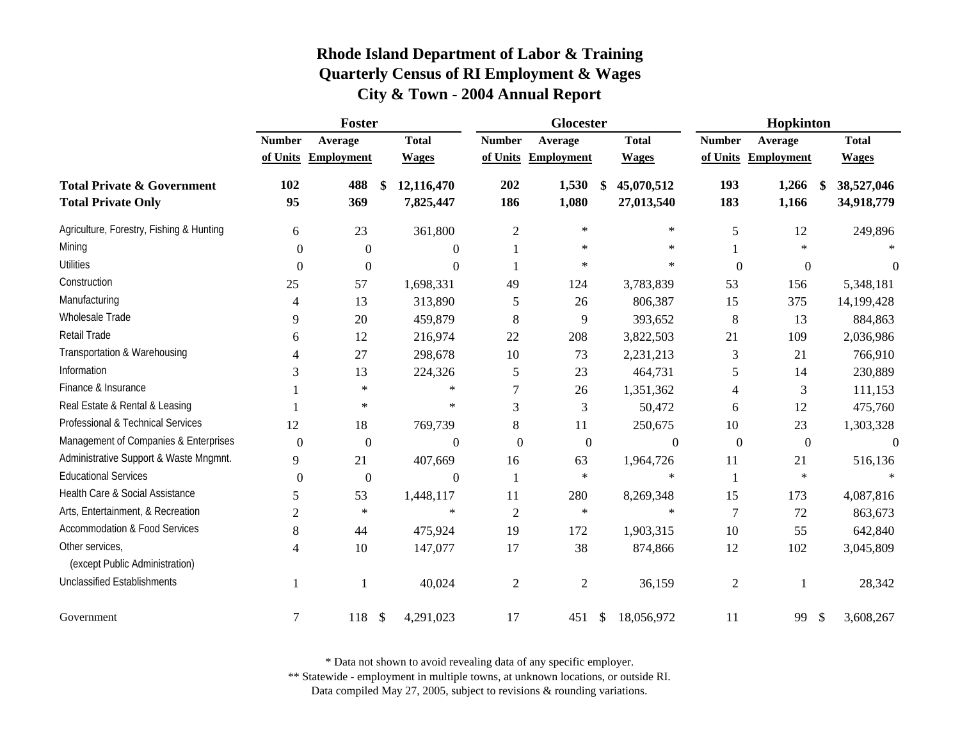|                                                                    | Foster           |                   |    |                         |                  | Glocester         |                                |                  | Hopkinton         |                           |                          |
|--------------------------------------------------------------------|------------------|-------------------|----|-------------------------|------------------|-------------------|--------------------------------|------------------|-------------------|---------------------------|--------------------------|
|                                                                    | <b>Number</b>    | Average           |    | <b>Total</b>            | <b>Number</b>    | Average           | <b>Total</b>                   | <b>Number</b>    | Average           |                           | <b>Total</b>             |
|                                                                    | of Units         | <b>Employment</b> |    | <b>Wages</b>            | of Units         | <b>Employment</b> | <b>Wages</b>                   | of Units         | <b>Employment</b> |                           | <b>Wages</b>             |
| <b>Total Private &amp; Government</b><br><b>Total Private Only</b> | 102<br>95        | 488<br>369        | \$ | 12,116,470<br>7,825,447 | 202<br>186       | 1,530<br>1,080    | \$<br>45,070,512<br>27,013,540 | 193<br>183       | 1,266<br>1,166    | -S                        | 38,527,046<br>34,918,779 |
| Agriculture, Forestry, Fishing & Hunting                           | 6                | 23                |    | 361,800                 | $\mathfrak{2}$   | $\ast$            | $\ast$                         | 5                | 12                |                           | 249,896                  |
| Mining                                                             | $\Omega$         | $\theta$          |    | $\theta$                |                  | ∗                 | $\ast$                         |                  | $\star$           |                           |                          |
| <b>Utilities</b>                                                   | $\Omega$         | $\overline{0}$    |    | $\theta$                |                  | ∗                 | $\ast$                         | $\boldsymbol{0}$ | $\boldsymbol{0}$  |                           | $\Omega$                 |
| Construction                                                       | 25               | 57                |    | 1,698,331               | 49               | 124               | 3,783,839                      | 53               | 156               |                           | 5,348,181                |
| Manufacturing                                                      | 4                | 13                |    | 313,890                 | 5                | 26                | 806,387                        | 15               | 375               |                           | 14,199,428               |
| Wholesale Trade                                                    | 9                | 20                |    | 459,879                 | 8                | 9                 | 393,652                        | 8                | 13                |                           | 884,863                  |
| Retail Trade                                                       | 6                | 12                |    | 216,974                 | 22               | 208               | 3,822,503                      | 21               | 109               |                           | 2,036,986                |
| Transportation & Warehousing                                       | 4                | 27                |    | 298,678                 | 10               | 73                | 2,231,213                      | 3                | 21                |                           | 766,910                  |
| Information                                                        | 3                | 13                |    | 224,326                 | 5                | 23                | 464,731                        | 5                | 14                |                           | 230,889                  |
| Finance & Insurance                                                |                  | $\ast$            |    | $\ast$                  | $\tau$           | 26                | 1,351,362                      | 4                | 3                 |                           | 111,153                  |
| Real Estate & Rental & Leasing                                     |                  | $\ast$            |    | $\ast$                  | 3                | 3                 | 50,472                         | 6                | 12                |                           | 475,760                  |
| Professional & Technical Services                                  | 12               | 18                |    | 769,739                 | 8                | 11                | 250,675                        | 10               | 23                |                           | 1,303,328                |
| Management of Companies & Enterprises                              | $\boldsymbol{0}$ | $\boldsymbol{0}$  |    | $\boldsymbol{0}$        | $\boldsymbol{0}$ | $\boldsymbol{0}$  | $\boldsymbol{0}$               | $\boldsymbol{0}$ | $\boldsymbol{0}$  |                           | $\overline{0}$           |
| Administrative Support & Waste Mngmnt.                             | 9                | 21                |    | 407,669                 | 16               | 63                | 1,964,726                      | 11               | 21                |                           | 516,136                  |
| <b>Educational Services</b>                                        | $\boldsymbol{0}$ | $\boldsymbol{0}$  |    | $\theta$                | -1               | $\ast$            | $\ast$                         |                  | $\ast$            |                           |                          |
| Health Care & Social Assistance                                    | 5                | 53                |    | 1,448,117               | 11               | 280               | 8,269,348                      | 15               | 173               |                           | 4,087,816                |
| Arts, Entertainment, & Recreation                                  | $\overline{c}$   | $\ast$            |    | $\ast$                  | $\overline{2}$   | $\ast$            | $\ast$                         | $\tau$           | 72                |                           | 863,673                  |
| <b>Accommodation &amp; Food Services</b>                           | 8                | 44                |    | 475,924                 | 19               | 172               | 1,903,315                      | 10               | 55                |                           | 642,840                  |
| Other services,<br>(except Public Administration)                  | 4                | 10                |    | 147,077                 | 17               | 38                | 874,866                        | 12               | 102               |                           | 3,045,809                |
| <b>Unclassified Establishments</b>                                 |                  |                   |    | 40,024                  | $\overline{2}$   | $\mathbf{2}$      | 36,159                         | $\overline{c}$   |                   |                           | 28,342                   |
| Government                                                         | 7                | 118               | \$ | 4,291,023               | 17               | 451               | \$<br>18,056,972               | 11               | 99                | $\boldsymbol{\mathsf{S}}$ | 3,608,267                |

\* Data not shown to avoid revealing data of any specific employer.

\*\* Statewide - employment in multiple towns, at unknown locations, or outside RI.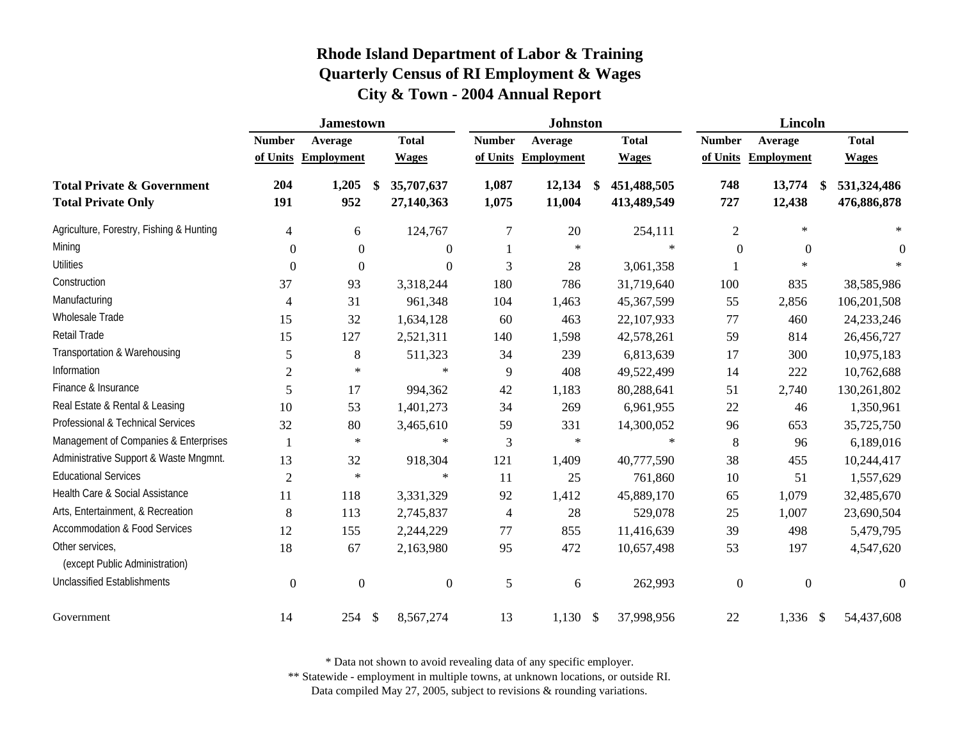|                                                                    | <b>Jamestown</b> |                   |                                |                | <b>Johnston</b>   |                                  |                | <b>Lincoln</b>    |                                  |
|--------------------------------------------------------------------|------------------|-------------------|--------------------------------|----------------|-------------------|----------------------------------|----------------|-------------------|----------------------------------|
|                                                                    | <b>Number</b>    | Average           | <b>Total</b>                   | <b>Number</b>  | Average           | <b>Total</b>                     | <b>Number</b>  | Average           | <b>Total</b>                     |
|                                                                    | of Units         | <b>Employment</b> | <b>Wages</b>                   | of Units       | <b>Employment</b> | <b>Wages</b>                     | of Units       | <b>Employment</b> | <b>Wages</b>                     |
| <b>Total Private &amp; Government</b><br><b>Total Private Only</b> | 204<br>191       | 1,205<br>952      | 35,707,637<br>\$<br>27,140,363 | 1,087<br>1,075 | 12,134<br>11,004  | \$<br>451,488,505<br>413,489,549 | 748<br>727     | 13,774<br>12,438  | \$<br>531,324,486<br>476,886,878 |
| Agriculture, Forestry, Fishing & Hunting                           | $\overline{4}$   | 6                 | 124,767                        | 7              | 20                | 254,111                          | $\overline{2}$ | $\star$           | $\star$                          |
| Mining                                                             | $\mathbf{0}$     | $\boldsymbol{0}$  | $\theta$                       |                | $\ast$            | $\ast$                           | $\overline{0}$ | $\overline{0}$    | $\theta$                         |
| <b>Utilities</b>                                                   | $\theta$         | $\boldsymbol{0}$  | $\boldsymbol{0}$               | 3              | 28                | 3,061,358                        |                | $\ast$            |                                  |
| Construction                                                       | 37               | 93                | 3,318,244                      | 180            | 786               | 31,719,640                       | 100            | 835               | 38,585,986                       |
| Manufacturing                                                      | $\overline{4}$   | 31                | 961,348                        | 104            | 1,463             | 45,367,599                       | 55             | 2,856             | 106,201,508                      |
| Wholesale Trade                                                    | 15               | 32                | 1,634,128                      | 60             | 463               | 22,107,933                       | 77             | 460               | 24, 233, 246                     |
| Retail Trade                                                       | 15               | 127               | 2,521,311                      | 140            | 1,598             | 42,578,261                       | 59             | 814               | 26,456,727                       |
| Transportation & Warehousing                                       | 5                | 8                 | 511,323                        | 34             | 239               | 6,813,639                        | 17             | 300               | 10,975,183                       |
| Information                                                        | $\overline{2}$   | $\ast$            | $\ast$                         | 9              | 408               | 49,522,499                       | 14             | 222               | 10,762,688                       |
| Finance & Insurance                                                | 5                | 17                | 994,362                        | 42             | 1,183             | 80,288,641                       | 51             | 2,740             | 130,261,802                      |
| Real Estate & Rental & Leasing                                     | 10               | 53                | 1,401,273                      | 34             | 269               | 6,961,955                        | 22             | 46                | 1,350,961                        |
| Professional & Technical Services                                  | 32               | 80                | 3,465,610                      | 59             | 331               | 14,300,052                       | 96             | 653               | 35,725,750                       |
| Management of Companies & Enterprises                              |                  | $\ast$            | $\ast$                         | 3              | $\ast$            | ∗                                | 8              | 96                | 6,189,016                        |
| Administrative Support & Waste Mngmnt.                             | 13               | 32                | 918,304                        | 121            | 1,409             | 40,777,590                       | 38             | 455               | 10,244,417                       |
| <b>Educational Services</b>                                        | $\overline{2}$   | $\ast$            | $\ast$                         | 11             | 25                | 761,860                          | 10             | 51                | 1,557,629                        |
| Health Care & Social Assistance                                    | 11               | 118               | 3,331,329                      | 92             | 1,412             | 45,889,170                       | 65             | 1,079             | 32,485,670                       |
| Arts, Entertainment, & Recreation                                  | 8                | 113               | 2,745,837                      | 4              | 28                | 529,078                          | 25             | 1,007             | 23,690,504                       |
| <b>Accommodation &amp; Food Services</b>                           | 12               | 155               | 2,244,229                      | 77             | 855               | 11,416,639                       | 39             | 498               | 5,479,795                        |
| Other services.<br>(except Public Administration)                  | 18               | 67                | 2,163,980                      | 95             | 472               | 10,657,498                       | 53             | 197               | 4,547,620                        |
| <b>Unclassified Establishments</b>                                 | $\boldsymbol{0}$ | $\mathbf{0}$      | $\boldsymbol{0}$               | 5              | 6                 | 262,993                          | $\mathbf{0}$   | $\mathbf{0}$      | $\boldsymbol{0}$                 |
| Government                                                         | 14               | 254               | $\frac{1}{2}$<br>8,567,274     | 13             | $1,130$ \$        | 37,998,956                       | 22             | 1,336 \$          | 54,437,608                       |

\* Data not shown to avoid revealing data of any specific employer.

\*\* Statewide - employment in multiple towns, at unknown locations, or outside RI.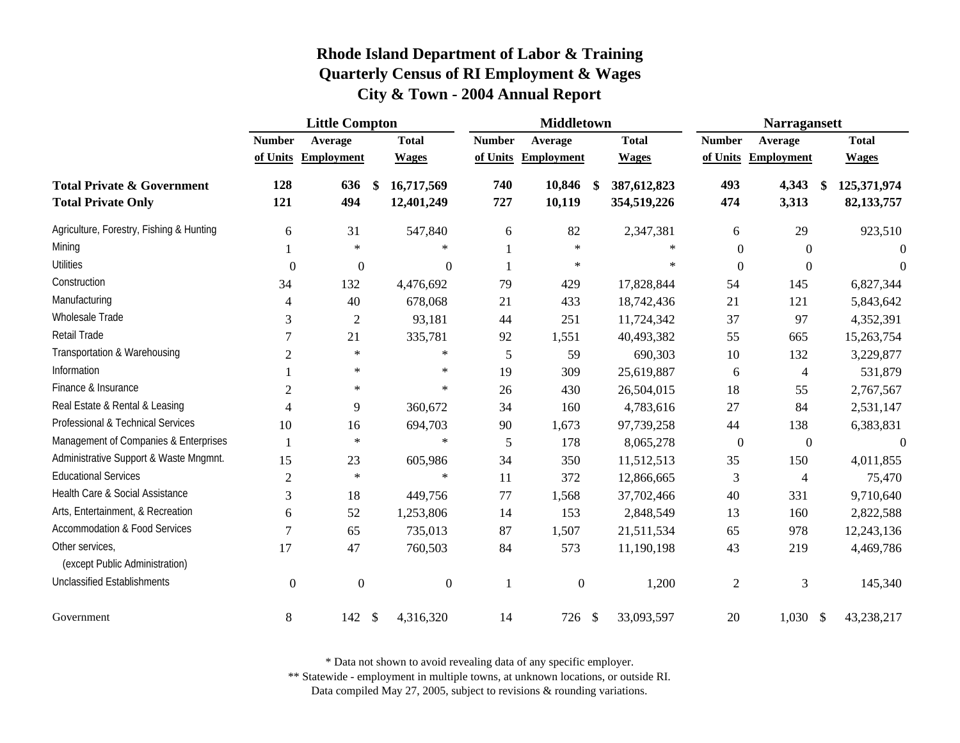|                                                                    | <b>Little Compton</b>    |                   |                                        |                       | <b>Middletown</b> |                                  |                  | <b>Narragansett</b> |                                   |
|--------------------------------------------------------------------|--------------------------|-------------------|----------------------------------------|-----------------------|-------------------|----------------------------------|------------------|---------------------|-----------------------------------|
|                                                                    | <b>Number</b>            | Average           | <b>Total</b>                           | <b>Number</b>         | Average           | <b>Total</b>                     | <b>Number</b>    | Average             | <b>Total</b>                      |
|                                                                    | of Units                 | <b>Employment</b> | <b>Wages</b>                           | of Units              | <b>Employment</b> | <b>Wages</b>                     | of Units         | <b>Employment</b>   | <b>Wages</b>                      |
| <b>Total Private &amp; Government</b><br><b>Total Private Only</b> | 128<br>121               | 636<br>494        | 16,717,569<br>\$<br>12,401,249         | 740<br>727            | 10,846<br>10,119  | \$<br>387,612,823<br>354,519,226 | 493<br>474       | 4,343<br>3,313      | \$<br>125,371,974<br>82, 133, 757 |
| Agriculture, Forestry, Fishing & Hunting                           | 6                        | 31                | 547,840                                | 6                     | 82                | 2,347,381                        | 6                | 29                  | 923,510                           |
| Mining                                                             |                          | $\ast$            |                                        | $\ast$                | $\ast$            | $\ast$                           | $\mathbf{0}$     | $\Omega$            | $\theta$                          |
| <b>Utilities</b>                                                   | $\boldsymbol{0}$         | $\boldsymbol{0}$  |                                        | $\boldsymbol{0}$<br>1 | $\ast$            | $\ast$                           | $\theta$         | $\Omega$            | $\Omega$                          |
| Construction                                                       | 34                       | 132               | 4,476,692                              | 79                    | 429               | 17,828,844                       | 54               | 145                 | 6,827,344                         |
| Manufacturing                                                      | $\overline{4}$           | 40                | 678,068                                | 21                    | 433               | 18,742,436                       | 21               | 121                 | 5,843,642                         |
| Wholesale Trade                                                    | 3                        | $\overline{2}$    | 93,181                                 | 44                    | 251               | 11,724,342                       | 37               | 97                  | 4,352,391                         |
| Retail Trade                                                       | $\tau$                   | 21                | 335,781                                | 92                    | 1,551             | 40,493,382                       | 55               | 665                 | 15,263,754                        |
| Transportation & Warehousing                                       | $\overline{2}$           | $\ast$            |                                        | $\ast$<br>5           | 59                | 690,303                          | 10               | 132                 | 3,229,877                         |
| Information                                                        |                          | $\ast$            |                                        | $\ast$<br>19          | 309               | 25,619,887                       | 6                | $\overline{4}$      | 531,879                           |
| Finance & Insurance                                                | $\mathfrak{2}$           | $\ast$            |                                        | $\ast$<br>26          | 430               | 26,504,015                       | 18               | 55                  | 2,767,567                         |
| Real Estate & Rental & Leasing                                     | $\overline{\mathcal{A}}$ | 9                 | 360,672                                | 34                    | 160               | 4,783,616                        | 27               | 84                  | 2,531,147                         |
| Professional & Technical Services                                  | 10                       | 16                | 694,703                                | 90                    | 1,673             | 97,739,258                       | 44               | 138                 | 6,383,831                         |
| Management of Companies & Enterprises                              |                          | $\ast$            |                                        | $\ast$<br>5           | 178               | 8,065,278                        | $\boldsymbol{0}$ | $\mathbf{0}$        | $\mathbf{0}$                      |
| Administrative Support & Waste Mngmnt.                             | 15                       | 23                | 605,986                                | 34                    | 350               | 11,512,513                       | 35               | 150                 | 4,011,855                         |
| <b>Educational Services</b>                                        | $\sqrt{2}$               | $\ast$            |                                        | $\ast$<br>11          | 372               | 12,866,665                       | 3                | 4                   | 75,470                            |
| Health Care & Social Assistance                                    | 3                        | 18                | 449,756                                | 77                    | 1,568             | 37,702,466                       | 40               | 331                 | 9,710,640                         |
| Arts, Entertainment, & Recreation                                  | 6                        | 52                | 1,253,806                              | 14                    | 153               | 2,848,549                        | 13               | 160                 | 2,822,588                         |
| <b>Accommodation &amp; Food Services</b>                           | $\overline{7}$           | 65                | 735,013                                | 87                    | 1,507             | 21,511,534                       | 65               | 978                 | 12,243,136                        |
| Other services,<br>(except Public Administration)                  | 17                       | 47                | 760,503                                | 84                    | 573               | 11,190,198                       | 43               | 219                 | 4,469,786                         |
| <b>Unclassified Establishments</b>                                 | $\boldsymbol{0}$         | $\overline{0}$    |                                        | $\overline{0}$<br>-1  | $\boldsymbol{0}$  | 1,200                            | $\overline{2}$   | 3                   | 145,340                           |
| Government                                                         | 8                        | 142               | $\boldsymbol{\mathsf{S}}$<br>4,316,320 | 14                    | 726 \$            | 33,093,597                       | 20               | $1,030$ \$          | 43,238,217                        |

\* Data not shown to avoid revealing data of any specific employer.

\*\* Statewide - employment in multiple towns, at unknown locations, or outside RI.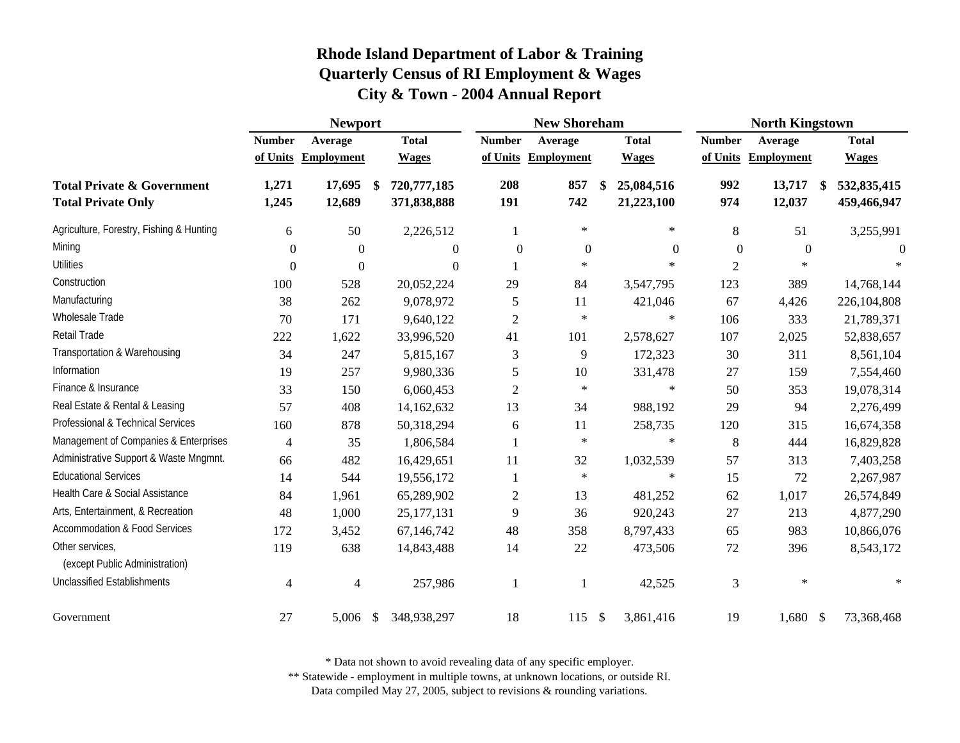|                                                                    | <b>Newport</b> |                   |               |                            |                  | <b>New Shoreham</b> |               |                          |                  | <b>North Kingstown</b> |               |                            |
|--------------------------------------------------------------------|----------------|-------------------|---------------|----------------------------|------------------|---------------------|---------------|--------------------------|------------------|------------------------|---------------|----------------------------|
|                                                                    | <b>Number</b>  | Average           |               | <b>Total</b>               | <b>Number</b>    | Average             |               | <b>Total</b>             | <b>Number</b>    | Average                |               | <b>Total</b>               |
|                                                                    | of Units       | <b>Employment</b> |               | <b>Wages</b>               | of Units         | <b>Employment</b>   |               | <b>Wages</b>             | of Units         | <b>Employment</b>      |               | <b>Wages</b>               |
| <b>Total Private &amp; Government</b><br><b>Total Private Only</b> | 1,271<br>1,245 | 17,695<br>12,689  | \$            | 720,777,185<br>371,838,888 | 208<br>191       | 857<br>742          | \$            | 25,084,516<br>21,223,100 | 992<br>974       | 13,717<br>12,037       | \$            | 532,835,415<br>459,466,947 |
| Agriculture, Forestry, Fishing & Hunting                           | 6              | 50                |               | 2,226,512                  |                  | $\ast$              |               | $\ast$                   | 8                | 51                     |               | 3,255,991                  |
| Mining                                                             | 0              | $\boldsymbol{0}$  |               | $\theta$                   | $\boldsymbol{0}$ | $\boldsymbol{0}$    |               | $\boldsymbol{0}$         | $\boldsymbol{0}$ | $\boldsymbol{0}$       |               | $\theta$                   |
| <b>Utilities</b>                                                   | $\Omega$       | $\boldsymbol{0}$  |               | $\theta$                   |                  | $\ast$              |               | $\ast$                   | $\overline{c}$   | $\ast$                 |               |                            |
| Construction                                                       | 100            | 528               |               | 20,052,224                 | 29               | 84                  |               | 3,547,795                | 123              | 389                    |               | 14,768,144                 |
| Manufacturing                                                      | 38             | 262               |               | 9,078,972                  | 5                | 11                  |               | 421,046                  | 67               | 4,426                  |               | 226,104,808                |
| Wholesale Trade                                                    | 70             | 171               |               | 9,640,122                  | $\overline{2}$   | $\ast$              |               | $\ast$                   | 106              | 333                    |               | 21,789,371                 |
| Retail Trade                                                       | 222            | 1,622             |               | 33,996,520                 | 41               | 101                 |               | 2,578,627                | 107              | 2,025                  |               | 52,838,657                 |
| Transportation & Warehousing                                       | 34             | 247               |               | 5,815,167                  | $\mathfrak{Z}$   | 9                   |               | 172,323                  | 30               | 311                    |               | 8,561,104                  |
| Information                                                        | 19             | 257               |               | 9,980,336                  | 5                | 10                  |               | 331,478                  | 27               | 159                    |               | 7,554,460                  |
| Finance & Insurance                                                | 33             | 150               |               | 6,060,453                  | $\sqrt{2}$       | $\ast$              |               | $\ast$                   | 50               | 353                    |               | 19,078,314                 |
| Real Estate & Rental & Leasing                                     | 57             | 408               |               | 14,162,632                 | 13               | 34                  |               | 988,192                  | 29               | 94                     |               | 2,276,499                  |
| Professional & Technical Services                                  | 160            | 878               |               | 50,318,294                 | 6                | 11                  |               | 258,735                  | 120              | 315                    |               | 16,674,358                 |
| Management of Companies & Enterprises                              | $\overline{4}$ | 35                |               | 1,806,584                  | $\mathbf{1}$     | $\ast$              |               | $\ast$                   | 8                | 444                    |               | 16,829,828                 |
| Administrative Support & Waste Mngmnt.                             | 66             | 482               |               | 16,429,651                 | 11               | 32                  |               | 1,032,539                | 57               | 313                    |               | 7,403,258                  |
| <b>Educational Services</b>                                        | 14             | 544               |               | 19,556,172                 |                  | $\ast$              |               | $\ast$                   | 15               | 72                     |               | 2,267,987                  |
| Health Care & Social Assistance                                    | 84             | 1,961             |               | 65,289,902                 | $\overline{c}$   | 13                  |               | 481,252                  | 62               | 1,017                  |               | 26,574,849                 |
| Arts, Entertainment, & Recreation                                  | 48             | 1,000             |               | 25, 177, 131               | 9                | 36                  |               | 920,243                  | 27               | 213                    |               | 4,877,290                  |
| <b>Accommodation &amp; Food Services</b>                           | 172            | 3,452             |               | 67,146,742                 | 48               | 358                 |               | 8,797,433                | 65               | 983                    |               | 10,866,076                 |
| Other services,<br>(except Public Administration)                  | 119            | 638               |               | 14,843,488                 | 14               | 22                  |               | 473,506                  | 72               | 396                    |               | 8,543,172                  |
| <b>Unclassified Establishments</b>                                 | $\overline{4}$ | $\overline{4}$    |               | 257,986                    | 1                |                     |               | 42,525                   | 3                | $\ast$                 |               |                            |
| Government                                                         | 27             | 5,006             | <sup>\$</sup> | 348,938,297                | 18               | 115                 | $\mathcal{S}$ | 3,861,416                | 19               | 1,680                  | $\mathcal{S}$ | 73,368,468                 |

\* Data not shown to avoid revealing data of any specific employer.

\*\* Statewide - employment in multiple towns, at unknown locations, or outside RI.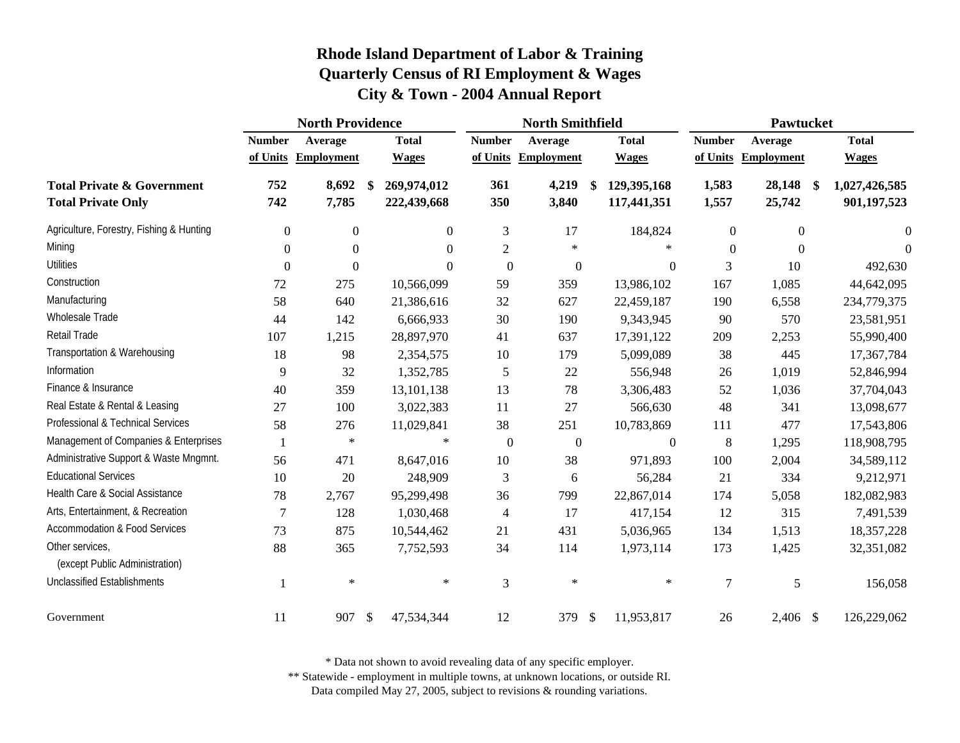|                                                                    | <b>North Providence</b> |                   |               |                            |                | <b>North Smithfield</b> |            |                            |                | Pawtucket         |               |                                |
|--------------------------------------------------------------------|-------------------------|-------------------|---------------|----------------------------|----------------|-------------------------|------------|----------------------------|----------------|-------------------|---------------|--------------------------------|
|                                                                    | <b>Number</b>           | Average           |               | <b>Total</b>               | <b>Number</b>  | Average                 |            | <b>Total</b>               | <b>Number</b>  | Average           |               | <b>Total</b>                   |
|                                                                    | of Units                | <b>Employment</b> |               | <b>Wages</b>               | of Units       | <b>Employment</b>       |            | <b>Wages</b>               | of Units       | <b>Employment</b> |               | <b>Wages</b>                   |
| <b>Total Private &amp; Government</b><br><b>Total Private Only</b> | 752<br>742              | 8,692<br>7,785    | \$            | 269,974,012<br>222,439,668 | 361<br>350     | 4,219<br>3,840          | \$         | 129,395,168<br>117,441,351 | 1,583<br>1,557 | 28,148<br>25,742  | $\mathbf{\$}$ | 1,027,426,585<br>901, 197, 523 |
| Agriculture, Forestry, Fishing & Hunting                           | $\boldsymbol{0}$        | $\boldsymbol{0}$  |               | $\overline{0}$             | 3              | 17                      |            | 184,824                    | 0              | $\overline{0}$    |               | $\Omega$                       |
| Mining                                                             | $\Omega$                | $\boldsymbol{0}$  |               | $\Omega$                   | $\overline{2}$ | $\ast$                  |            |                            | 0              | $\Omega$          |               | $\theta$                       |
| <b>Utilities</b>                                                   | $\boldsymbol{0}$        | $\boldsymbol{0}$  |               | $\Omega$                   | $\mathbf{0}$   | $\boldsymbol{0}$        |            | $\theta$                   | 3              | 10                |               | 492,630                        |
| Construction                                                       | 72                      | 275               |               | 10,566,099                 | 59             | 359                     |            | 13,986,102                 | 167            | 1,085             |               | 44,642,095                     |
| Manufacturing                                                      | 58                      | 640               |               | 21,386,616                 | 32             | 627                     |            | 22,459,187                 | 190            | 6,558             |               | 234,779,375                    |
| Wholesale Trade                                                    | 44                      | 142               |               | 6,666,933                  | 30             | 190                     |            | 9,343,945                  | 90             | 570               |               | 23,581,951                     |
| Retail Trade                                                       | 107                     | 1,215             |               | 28,897,970                 | 41             | 637                     |            | 17,391,122                 | 209            | 2,253             |               | 55,990,400                     |
| Transportation & Warehousing                                       | 18                      | 98                |               | 2,354,575                  | 10             | 179                     |            | 5,099,089                  | 38             | 445               |               | 17,367,784                     |
| Information                                                        | $\overline{9}$          | 32                |               | 1,352,785                  | 5              | 22                      |            | 556,948                    | 26             | 1,019             |               | 52,846,994                     |
| Finance & Insurance                                                | 40                      | 359               |               | 13,101,138                 | 13             | 78                      |            | 3,306,483                  | 52             | 1,036             |               | 37,704,043                     |
| Real Estate & Rental & Leasing                                     | 27                      | 100               |               | 3,022,383                  | 11             | 27                      |            | 566,630                    | 48             | 341               |               | 13,098,677                     |
| Professional & Technical Services                                  | 58                      | 276               |               | 11,029,841                 | 38             | 251                     |            | 10,783,869                 | 111            | 477               |               | 17,543,806                     |
| Management of Companies & Enterprises                              |                         | $\ast$            |               | $\ast$                     | $\mathbf{0}$   | $\boldsymbol{0}$        |            | $\mathbf{0}$               | $\,8\,$        | 1,295             |               | 118,908,795                    |
| Administrative Support & Waste Mngmnt.                             | 56                      | 471               |               | 8,647,016                  | 10             | 38                      |            | 971,893                    | 100            | 2,004             |               | 34,589,112                     |
| <b>Educational Services</b>                                        | 10                      | 20                |               | 248,909                    | 3              | 6                       |            | 56,284                     | 21             | 334               |               | 9,212,971                      |
| Health Care & Social Assistance                                    | 78                      | 2,767             |               | 95,299,498                 | 36             | 799                     |            | 22,867,014                 | 174            | 5,058             |               | 182,082,983                    |
| Arts, Entertainment, & Recreation                                  | $\tau$                  | 128               |               | 1,030,468                  | $\overline{4}$ | 17                      |            | 417,154                    | 12             | 315               |               | 7,491,539                      |
| <b>Accommodation &amp; Food Services</b>                           | 73                      | 875               |               | 10,544,462                 | 21             | 431                     |            | 5,036,965                  | 134            | 1,513             |               | 18,357,228                     |
| Other services,<br>(except Public Administration)                  | 88                      | 365               |               | 7,752,593                  | 34             | 114                     |            | 1,973,114                  | 173            | 1,425             |               | 32,351,082                     |
| <b>Unclassified Establishments</b>                                 |                         | $\ast$            |               | $\ast$                     | 3              | $\ast$                  |            | $\ast$                     | $\overline{7}$ | 5                 |               | 156,058                        |
| Government                                                         | 11                      | 907               | $\mathcal{S}$ | 47,534,344                 | 12             | 379                     | $\sqrt{3}$ | 11,953,817                 | 26             | 2,406 \$          |               | 126,229,062                    |

\* Data not shown to avoid revealing data of any specific employer.

\*\* Statewide - employment in multiple towns, at unknown locations, or outside RI.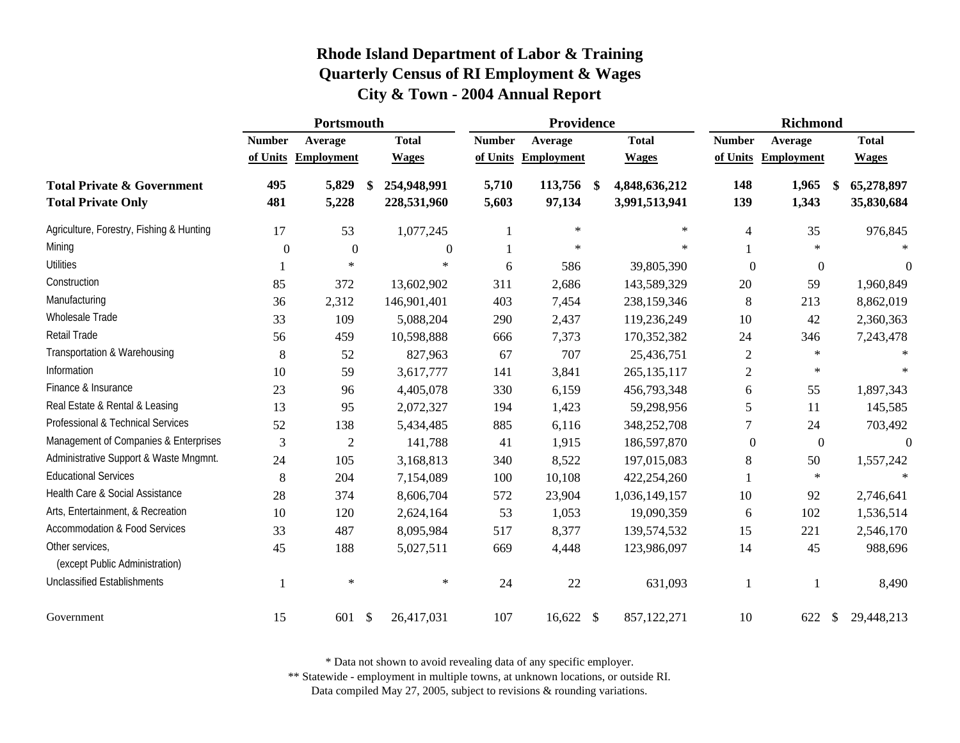|                                                                    | Portsmouth       |                   |               |                            |                | Providence        |                                      |                | <b>Richmond</b>   |               |                          |
|--------------------------------------------------------------------|------------------|-------------------|---------------|----------------------------|----------------|-------------------|--------------------------------------|----------------|-------------------|---------------|--------------------------|
|                                                                    | <b>Number</b>    | Average           |               | <b>Total</b>               | <b>Number</b>  | Average           | <b>Total</b>                         | <b>Number</b>  | Average           |               | <b>Total</b>             |
|                                                                    | of Units         | <b>Employment</b> |               | <b>Wages</b>               | of Units       | <b>Employment</b> | <b>Wages</b>                         | of Units       | <b>Employment</b> |               | <b>Wages</b>             |
| <b>Total Private &amp; Government</b><br><b>Total Private Only</b> | 495<br>481       | 5,829<br>5,228    | \$            | 254,948,991<br>228,531,960 | 5,710<br>5,603 | 113,756<br>97,134 | \$<br>4,848,636,212<br>3,991,513,941 | 148<br>139     | 1,965<br>1,343    |               | 65,278,897<br>35,830,684 |
| Agriculture, Forestry, Fishing & Hunting                           | 17               | 53                |               | 1,077,245                  |                | $\ast$            | $\ast$                               | $\overline{4}$ | 35                |               | 976,845                  |
| Mining                                                             | $\boldsymbol{0}$ | $\boldsymbol{0}$  |               | $\theta$                   |                | $\ast$            | $\ast$                               |                | $\ast$            |               |                          |
| <b>Utilities</b>                                                   |                  | $\ast$            |               | $\ast$                     | 6              | 586               | 39,805,390                           | $\theta$       | $\boldsymbol{0}$  |               | $\theta$                 |
| Construction                                                       | 85               | 372               |               | 13,602,902                 | 311            | 2,686             | 143,589,329                          | 20             | 59                |               | 1,960,849                |
| Manufacturing                                                      | 36               | 2,312             |               | 146,901,401                | 403            | 7,454             | 238,159,346                          | 8              | 213               |               | 8,862,019                |
| Wholesale Trade                                                    | 33               | 109               |               | 5,088,204                  | 290            | 2,437             | 119,236,249                          | 10             | 42                |               | 2,360,363                |
| Retail Trade                                                       | 56               | 459               |               | 10,598,888                 | 666            | 7,373             | 170,352,382                          | 24             | 346               |               | 7,243,478                |
| Transportation & Warehousing                                       | $\,8\,$          | 52                |               | 827,963                    | 67             | 707               | 25,436,751                           | $\overline{c}$ | $\ast$            |               |                          |
| Information                                                        | $10\,$           | 59                |               | 3,617,777                  | 141            | 3,841             | 265, 135, 117                        | $\mathfrak{2}$ | $\ast$            |               | $*$                      |
| Finance & Insurance                                                | 23               | 96                |               | 4,405,078                  | 330            | 6,159             | 456,793,348                          | 6              | 55                |               | 1,897,343                |
| Real Estate & Rental & Leasing                                     | 13               | 95                |               | 2,072,327                  | 194            | 1,423             | 59,298,956                           | 5              | 11                |               | 145,585                  |
| Professional & Technical Services                                  | 52               | 138               |               | 5,434,485                  | 885            | 6,116             | 348,252,708                          | 7              | 24                |               | 703,492                  |
| Management of Companies & Enterprises                              | $\mathfrak{Z}$   | $\overline{2}$    |               | 141,788                    | 41             | 1,915             | 186,597,870                          | $\overline{0}$ | $\boldsymbol{0}$  |               | $\boldsymbol{0}$         |
| Administrative Support & Waste Mngmnt.                             | 24               | 105               |               | 3,168,813                  | 340            | 8,522             | 197,015,083                          | 8              | 50                |               | 1,557,242                |
| <b>Educational Services</b>                                        | $\,8\,$          | 204               |               | 7,154,089                  | 100            | 10,108            | 422,254,260                          |                | $\ast$            |               |                          |
| Health Care & Social Assistance                                    | 28               | 374               |               | 8,606,704                  | 572            | 23,904            | 1,036,149,157                        | 10             | 92                |               | 2,746,641                |
| Arts, Entertainment, & Recreation                                  | 10               | 120               |               | 2,624,164                  | 53             | 1,053             | 19,090,359                           | 6              | 102               |               | 1,536,514                |
| <b>Accommodation &amp; Food Services</b>                           | 33               | 487               |               | 8,095,984                  | 517            | 8,377             | 139,574,532                          | 15             | 221               |               | 2,546,170                |
| Other services,<br>(except Public Administration)                  | 45               | 188               |               | 5,027,511                  | 669            | 4,448             | 123,986,097                          | 14             | 45                |               | 988,696                  |
| <b>Unclassified Establishments</b>                                 |                  | $\ast$            |               | $\ast$                     | 24             | 22                | 631,093                              | $\mathbf{1}$   | 1                 |               | 8,490                    |
| Government                                                         | 15               | 601               | $\mathcal{S}$ | 26,417,031                 | 107            | 16,622 \$         | 857,122,271                          | 10             | 622               | <sup>\$</sup> | 29,448,213               |

\* Data not shown to avoid revealing data of any specific employer.

\*\* Statewide - employment in multiple towns, at unknown locations, or outside RI.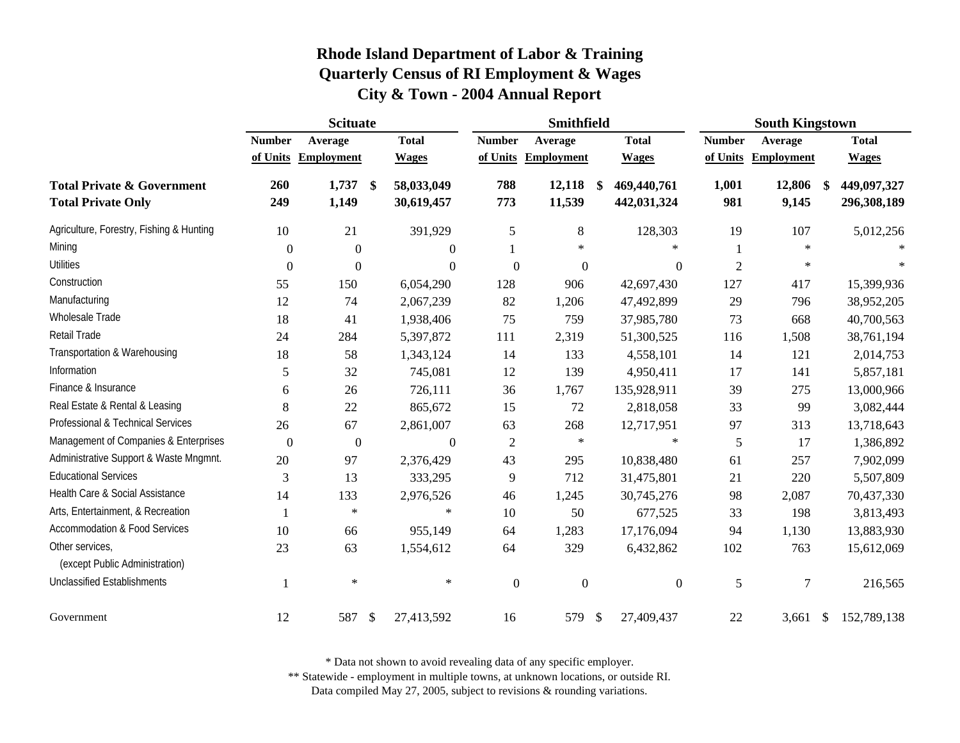|                                                                    | <b>Scituate</b>  |                   |                                           |                                 | Smithfield        |                                   |                | <b>South Kingstown</b> |                            |
|--------------------------------------------------------------------|------------------|-------------------|-------------------------------------------|---------------------------------|-------------------|-----------------------------------|----------------|------------------------|----------------------------|
|                                                                    | <b>Number</b>    | Average           | <b>Total</b>                              | <b>Number</b>                   | Average           | <b>Total</b>                      | <b>Number</b>  | Average                | <b>Total</b>               |
|                                                                    | of Units         | <b>Employment</b> | <b>Wages</b>                              | of Units                        | <b>Employment</b> | <b>Wages</b>                      | of Units       | <b>Employment</b>      | <b>Wages</b>               |
| <b>Total Private &amp; Government</b><br><b>Total Private Only</b> | 260<br>249       | 1,737<br>1,149    | 58,033,049<br>$\mathbf{\$}$<br>30,619,457 | 788<br>773                      | 12,118<br>11,539  | 469,440,761<br>-\$<br>442,031,324 | 1,001<br>981   | 12,806<br>9,145        | 449,097,327<br>296,308,189 |
| Agriculture, Forestry, Fishing & Hunting                           | 10               | 21                | 391,929                                   | 5                               | 8                 | 128,303                           | 19             | 107                    | 5,012,256                  |
| Mining                                                             | $\boldsymbol{0}$ | $\mathbf{0}$      |                                           | $\theta$                        | $\ast$            | $*$                               |                | $\ast$                 |                            |
| <b>Utilities</b>                                                   | $\boldsymbol{0}$ | $\Omega$          |                                           | $\Omega$<br>$\Omega$            | $\boldsymbol{0}$  | $\boldsymbol{0}$                  | $\overline{2}$ | $\ast$                 |                            |
| Construction                                                       | 55               | 150               | 6,054,290                                 | 128                             | 906               | 42,697,430                        | 127            | 417                    | 15,399,936                 |
| Manufacturing                                                      | 12               | 74                | 2,067,239                                 | 82                              | 1,206             | 47,492,899                        | 29             | 796                    | 38,952,205                 |
| Wholesale Trade                                                    | 18               | 41                | 1,938,406                                 | 75                              | 759               | 37,985,780                        | 73             | 668                    | 40,700,563                 |
| Retail Trade                                                       | 24               | 284               | 5,397,872                                 | 111                             | 2,319             | 51,300,525                        | 116            | 1,508                  | 38,761,194                 |
| Transportation & Warehousing                                       | 18               | 58                | 1,343,124                                 | 14                              | 133               | 4,558,101                         | 14             | 121                    | 2,014,753                  |
| Information                                                        | 5                | 32                | 745,081                                   | 12                              | 139               | 4,950,411                         | 17             | 141                    | 5,857,181                  |
| Finance & Insurance                                                | 6                | 26                | 726,111                                   | 36                              | 1,767             | 135,928,911                       | 39             | 275                    | 13,000,966                 |
| Real Estate & Rental & Leasing                                     | 8                | 22                | 865,672                                   | 15                              | 72                | 2,818,058                         | 33             | 99                     | 3,082,444                  |
| Professional & Technical Services                                  | 26               | 67                | 2,861,007                                 | 63                              | 268               | 12,717,951                        | 97             | 313                    | 13,718,643                 |
| Management of Companies & Enterprises                              | $\boldsymbol{0}$ | $\boldsymbol{0}$  |                                           | $\overline{0}$<br>$\mathfrak 2$ | $\ast$            | $\ast$                            | 5              | 17                     | 1,386,892                  |
| Administrative Support & Waste Mngmnt.                             | 20               | 97                | 2,376,429                                 | 43                              | 295               | 10,838,480                        | 61             | 257                    | 7,902,099                  |
| <b>Educational Services</b>                                        | 3                | 13                | 333,295                                   | 9                               | 712               | 31,475,801                        | 21             | 220                    | 5,507,809                  |
| Health Care & Social Assistance                                    | 14               | 133               | 2,976,526                                 | 46                              | 1,245             | 30,745,276                        | 98             | 2,087                  | 70,437,330                 |
| Arts, Entertainment, & Recreation                                  | 1                | $\ast$            | $\ast$                                    | 10                              | 50                | 677,525                           | 33             | 198                    | 3,813,493                  |
| <b>Accommodation &amp; Food Services</b>                           | 10               | 66                | 955,149                                   | 64                              | 1,283             | 17,176,094                        | 94             | 1,130                  | 13,883,930                 |
| Other services,<br>(except Public Administration)                  | 23               | 63                | 1,554,612                                 | 64                              | 329               | 6,432,862                         | 102            | 763                    | 15,612,069                 |
| <b>Unclassified Establishments</b>                                 | 1                | $\ast$            | $\ast$                                    | $\boldsymbol{0}$                | $\boldsymbol{0}$  | $\boldsymbol{0}$                  | 5              | 7                      | 216,565                    |
| Government                                                         | 12               | 587               | $\mathcal{S}$<br>27,413,592               | 16                              | 579               | - \$<br>27,409,437                | 22             | 3,661                  | 152,789,138<br>\$          |

\* Data not shown to avoid revealing data of any specific employer.

\*\* Statewide - employment in multiple towns, at unknown locations, or outside RI.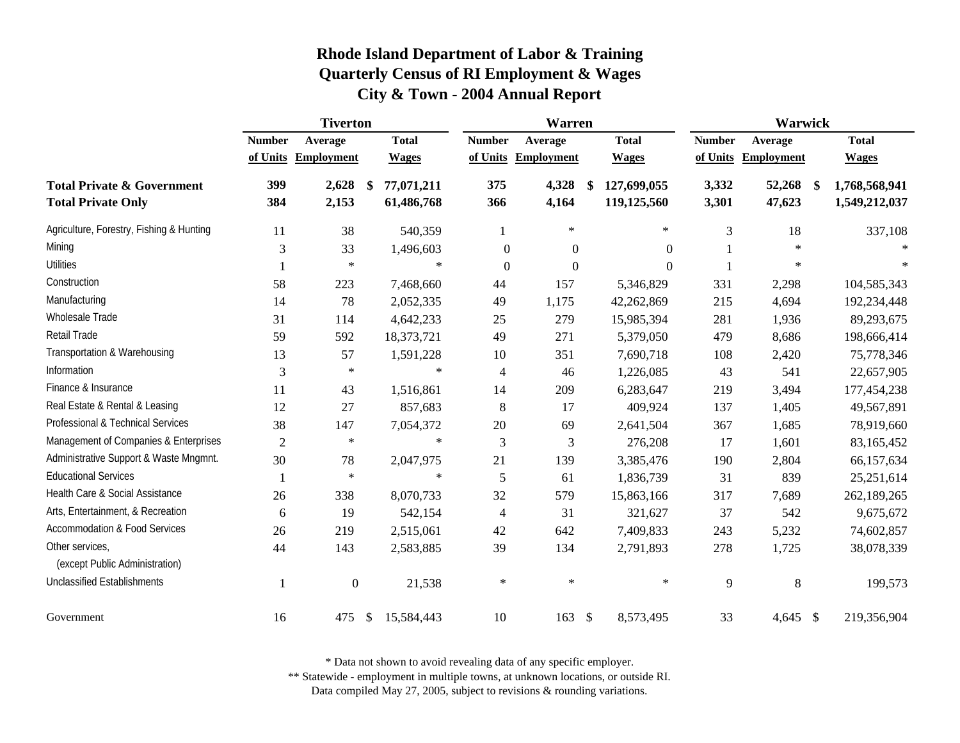|                                                                    | <b>Tiverton</b> |                   |    |                          |                  | <b>Warren</b>     |               |                            |                | <b>Warwick</b>    |               |                                |
|--------------------------------------------------------------------|-----------------|-------------------|----|--------------------------|------------------|-------------------|---------------|----------------------------|----------------|-------------------|---------------|--------------------------------|
|                                                                    | <b>Number</b>   | Average           |    | <b>Total</b>             | <b>Number</b>    | Average           |               | <b>Total</b>               | <b>Number</b>  | Average           |               | <b>Total</b>                   |
|                                                                    | of Units        | <b>Employment</b> |    | <b>Wages</b>             | of Units         | <b>Employment</b> |               | <b>Wages</b>               | of Units       | <b>Employment</b> |               | <b>Wages</b>                   |
| <b>Total Private &amp; Government</b><br><b>Total Private Only</b> | 399<br>384      | 2,628<br>2,153    | \$ | 77,071,211<br>61,486,768 | 375<br>366       | 4,328<br>4,164    | \$            | 127,699,055<br>119,125,560 | 3,332<br>3,301 | 52,268<br>47,623  | $\mathbf{\$}$ | 1,768,568,941<br>1,549,212,037 |
| Agriculture, Forestry, Fishing & Hunting                           | 11              | 38                |    | 540,359                  | $\mathbf{1}$     | $\ast$            |               | $\ast$                     | 3              | 18                |               | 337,108                        |
| Mining                                                             | 3               | 33                |    | 1,496,603                | $\boldsymbol{0}$ | $\boldsymbol{0}$  |               | $\Omega$                   |                | $\ast$            |               |                                |
| Utilities                                                          |                 | $\ast$            |    | $\ast$                   | $\boldsymbol{0}$ | $\boldsymbol{0}$  |               | $\theta$                   |                | $\ast$            |               |                                |
| Construction                                                       | 58              | 223               |    | 7,468,660                | 44               | 157               |               | 5,346,829                  | 331            | 2,298             |               | 104,585,343                    |
| Manufacturing                                                      | 14              | 78                |    | 2,052,335                | 49               | 1,175             |               | 42,262,869                 | 215            | 4,694             |               | 192,234,448                    |
| Wholesale Trade                                                    | 31              | 114               |    | 4,642,233                | 25               | 279               |               | 15,985,394                 | 281            | 1,936             |               | 89,293,675                     |
| <b>Retail Trade</b>                                                | 59              | 592               |    | 18,373,721               | 49               | 271               |               | 5,379,050                  | 479            | 8,686             |               | 198,666,414                    |
| Transportation & Warehousing                                       | 13              | 57                |    | 1,591,228                | 10               | 351               |               | 7,690,718                  | 108            | 2,420             |               | 75,778,346                     |
| Information                                                        | 3               | $\ast$            |    | $\ast$                   | $\overline{4}$   | 46                |               | 1,226,085                  | 43             | 541               |               | 22,657,905                     |
| Finance & Insurance                                                | 11              | 43                |    | 1,516,861                | 14               | 209               |               | 6,283,647                  | 219            | 3,494             |               | 177,454,238                    |
| Real Estate & Rental & Leasing                                     | 12              | 27                |    | 857,683                  | 8                | 17                |               | 409,924                    | 137            | 1,405             |               | 49,567,891                     |
| Professional & Technical Services                                  | 38              | 147               |    | 7,054,372                | 20               | 69                |               | 2,641,504                  | 367            | 1,685             |               | 78,919,660                     |
| Management of Companies & Enterprises                              | $\overline{2}$  | $\ast$            |    | $\ast$                   | 3                | 3                 |               | 276,208                    | 17             | 1,601             |               | 83,165,452                     |
| Administrative Support & Waste Mngmnt.                             | 30              | 78                |    | 2,047,975                | 21               | 139               |               | 3,385,476                  | 190            | 2,804             |               | 66,157,634                     |
| <b>Educational Services</b>                                        | 1               | $\ast$            |    | $\ast$                   | 5                | 61                |               | 1,836,739                  | 31             | 839               |               | 25,251,614                     |
| Health Care & Social Assistance                                    | 26              | 338               |    | 8,070,733                | 32               | 579               |               | 15,863,166                 | 317            | 7,689             |               | 262,189,265                    |
| Arts, Entertainment, & Recreation                                  | 6               | 19                |    | 542,154                  | 4                | 31                |               | 321,627                    | 37             | 542               |               | 9,675,672                      |
| <b>Accommodation &amp; Food Services</b>                           | 26              | 219               |    | 2,515,061                | 42               | 642               |               | 7,409,833                  | 243            | 5,232             |               | 74,602,857                     |
| Other services,<br>(except Public Administration)                  | 44              | 143               |    | 2,583,885                | 39               | 134               |               | 2,791,893                  | 278            | 1,725             |               | 38,078,339                     |
| <b>Unclassified Establishments</b>                                 |                 | $\boldsymbol{0}$  |    | 21,538                   | $\ast$           | $\ast$            |               | $\ast$                     | 9              | 8                 |               | 199,573                        |
| Government                                                         | 16              | 475               | \$ | 15,584,443               | 10               | 163               | $\mathcal{S}$ | 8,573,495                  | 33             | $4,645$ \$        |               | 219,356,904                    |

\* Data not shown to avoid revealing data of any specific employer.

\*\* Statewide - employment in multiple towns, at unknown locations, or outside RI.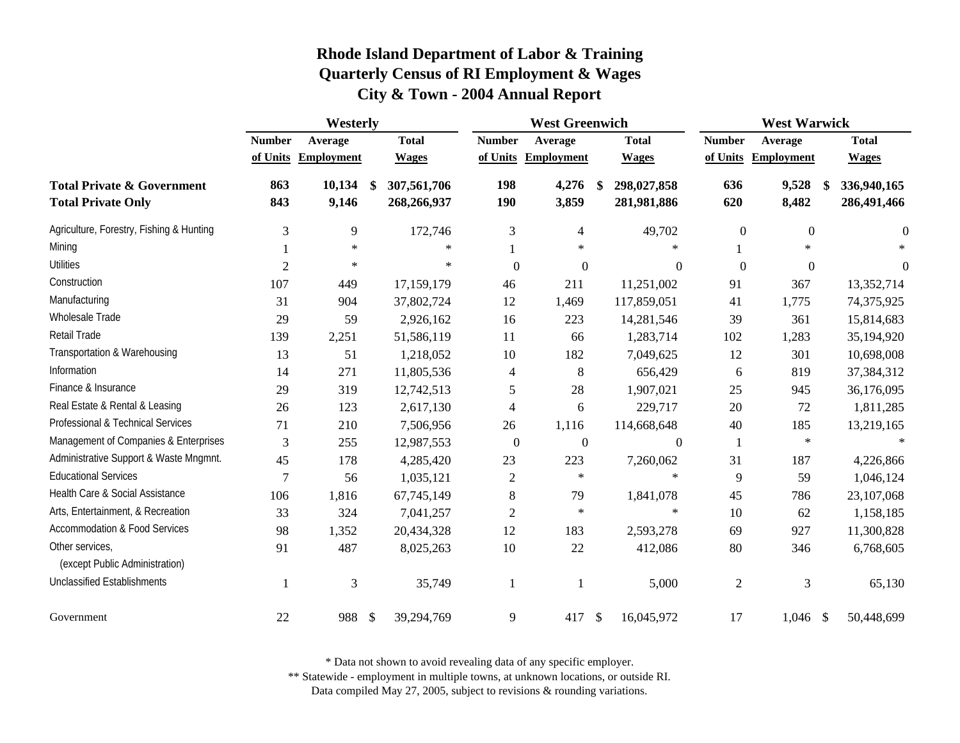|                                                                    | Westerly                  |                              |    |                              |                           | <b>West Greenwich</b>        |            | <b>West Warwick</b>          |                           |                              |     |                              |
|--------------------------------------------------------------------|---------------------------|------------------------------|----|------------------------------|---------------------------|------------------------------|------------|------------------------------|---------------------------|------------------------------|-----|------------------------------|
|                                                                    | <b>Number</b><br>of Units | Average<br><b>Employment</b> |    | <b>Total</b><br><b>Wages</b> | <b>Number</b><br>of Units | Average<br><b>Employment</b> |            | <b>Total</b><br><b>Wages</b> | <b>Number</b><br>of Units | Average<br><b>Employment</b> |     | <b>Total</b><br><b>Wages</b> |
| <b>Total Private &amp; Government</b><br><b>Total Private Only</b> | 863<br>843                | 10,134<br>9,146              | \$ | 307,561,706<br>268,266,937   | 198<br>190                | 4,276<br>3,859               | S.         | 298,027,858<br>281,981,886   | 636<br>620                | 9,528<br>8,482               | \$. | 336,940,165<br>286,491,466   |
| Agriculture, Forestry, Fishing & Hunting                           | 3                         | 9                            |    | 172,746                      | 3                         | 4                            |            | 49,702                       | $\boldsymbol{0}$          | $\boldsymbol{0}$             |     | $\Omega$                     |
| Mining                                                             |                           | $\ast$                       |    | $\ast$                       |                           | $\ast$                       |            | $\ast$                       |                           | $\ast$                       |     |                              |
| <b>Utilities</b>                                                   | $\overline{2}$            | $\ast$                       |    | $\ast$                       | $\overline{0}$            | $\boldsymbol{0}$             |            | $\Omega$                     | $\mathbf{0}$              | $\boldsymbol{0}$             |     | $\Omega$                     |
| Construction                                                       | 107                       | 449                          |    | 17,159,179                   | 46                        | 211                          |            | 11,251,002                   | 91                        | 367                          |     | 13,352,714                   |
| Manufacturing                                                      | 31                        | 904                          |    | 37,802,724                   | 12                        | 1,469                        |            | 117,859,051                  | 41                        | 1,775                        |     | 74,375,925                   |
| Wholesale Trade                                                    | 29                        | 59                           |    | 2,926,162                    | 16                        | 223                          |            | 14,281,546                   | 39                        | 361                          |     | 15,814,683                   |
| Retail Trade                                                       | 139                       | 2,251                        |    | 51,586,119                   | 11                        | 66                           |            | 1,283,714                    | 102                       | 1,283                        |     | 35,194,920                   |
| Transportation & Warehousing                                       | 13                        | 51                           |    | 1,218,052                    | $10\,$                    | 182                          |            | 7,049,625                    | 12                        | 301                          |     | 10,698,008                   |
| Information                                                        | 14                        | 271                          |    | 11,805,536                   | 4                         | 8                            |            | 656,429                      | 6                         | 819                          |     | 37,384,312                   |
| Finance & Insurance                                                | 29                        | 319                          |    | 12,742,513                   | 5                         | 28                           |            | 1,907,021                    | 25                        | 945                          |     | 36,176,095                   |
| Real Estate & Rental & Leasing                                     | 26                        | 123                          |    | 2,617,130                    | $\overline{4}$            | 6                            |            | 229,717                      | 20                        | 72                           |     | 1,811,285                    |
| Professional & Technical Services                                  | 71                        | 210                          |    | 7,506,956                    | 26                        | 1,116                        |            | 114,668,648                  | 40                        | 185                          |     | 13,219,165                   |
| Management of Companies & Enterprises                              | 3                         | 255                          |    | 12,987,553                   | $\boldsymbol{0}$          | $\boldsymbol{0}$             |            | $\boldsymbol{0}$             | -1                        | $\star$                      |     |                              |
| Administrative Support & Waste Mngmnt.                             | 45                        | 178                          |    | 4,285,420                    | 23                        | 223                          |            | 7,260,062                    | 31                        | 187                          |     | 4,226,866                    |
| <b>Educational Services</b>                                        | $\overline{7}$            | 56                           |    | 1,035,121                    | $\sqrt{2}$                | $\ast$                       |            | $\ast$                       | 9                         | 59                           |     | 1,046,124                    |
| Health Care & Social Assistance                                    | 106                       | 1,816                        |    | 67,745,149                   | $8\,$                     | 79                           |            | 1,841,078                    | 45                        | 786                          |     | 23,107,068                   |
| Arts, Entertainment, & Recreation                                  | 33                        | 324                          |    | 7,041,257                    | $\sqrt{2}$                | $\ast$                       |            | $\ast$                       | 10                        | 62                           |     | 1,158,185                    |
| <b>Accommodation &amp; Food Services</b>                           | 98                        | 1,352                        |    | 20,434,328                   | 12                        | 183                          |            | 2,593,278                    | 69                        | 927                          |     | 11,300,828                   |
| Other services,<br>(except Public Administration)                  | 91                        | 487                          |    | 8,025,263                    | $10\,$                    | 22                           |            | 412,086                      | 80                        | 346                          |     | 6,768,605                    |
| <b>Unclassified Establishments</b>                                 | 1                         | 3                            |    | 35,749                       | 1                         |                              |            | 5,000                        | $\mathfrak{2}$            | 3                            |     | 65,130                       |
| Government                                                         | 22                        | 988 \$                       |    | 39,294,769                   | 9                         | 417                          | $\sqrt{3}$ | 16,045,972                   | 17                        | $1,046$ \$                   |     | 50,448,699                   |

\* Data not shown to avoid revealing data of any specific employer.

\*\* Statewide - employment in multiple towns, at unknown locations, or outside RI.